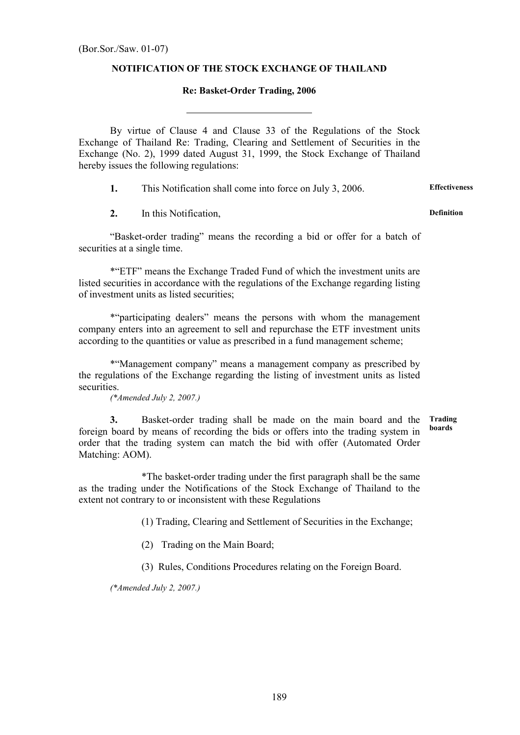## NOTIFICATION OF THE STOCK EXCHANGE OF THAILAND

## Re: Basket-Order Trading, 2006

By virtue of Clause 4 and Clause 33 of the Regulations of the Stock Exchange of Thailand Re: Trading, Clearing and Settlement of Securities in the Exchange (No. 2), 1999 dated August 31, 1999, the Stock Exchange of Thailand hereby issues the following regulations:

1. This Notification shall come into force on July 3, 2006. Effectiveness

2. In this Notification, the contraction of the Definition of the Definition

 $\overline{a}$ 

 "Basket-order trading" means the recording a bid or offer for a batch of securities at a single time.

\*"ETF" means the Exchange Traded Fund of which the investment units are listed securities in accordance with the regulations of the Exchange regarding listing of investment units as listed securities;

\*"participating dealers" means the persons with whom the management company enters into an agreement to sell and repurchase the ETF investment units according to the quantities or value as prescribed in a fund management scheme;

\*"Management company" means a management company as prescribed by the regulations of the Exchange regarding the listing of investment units as listed securities.

(\*Amended July 2, 2007.)

3. Basket-order trading shall be made on the main board and the foreign board by means of recording the bids or offers into the trading system in order that the trading system can match the bid with offer (Automated Order Matching: AOM). Trading boards

\*The basket-order trading under the first paragraph shall be the same as the trading under the Notifications of the Stock Exchange of Thailand to the extent not contrary to or inconsistent with these Regulations

(1) Trading, Clearing and Settlement of Securities in the Exchange;

(2) Trading on the Main Board;

(3) Rules, Conditions Procedures relating on the Foreign Board.

(\*Amended July 2, 2007.)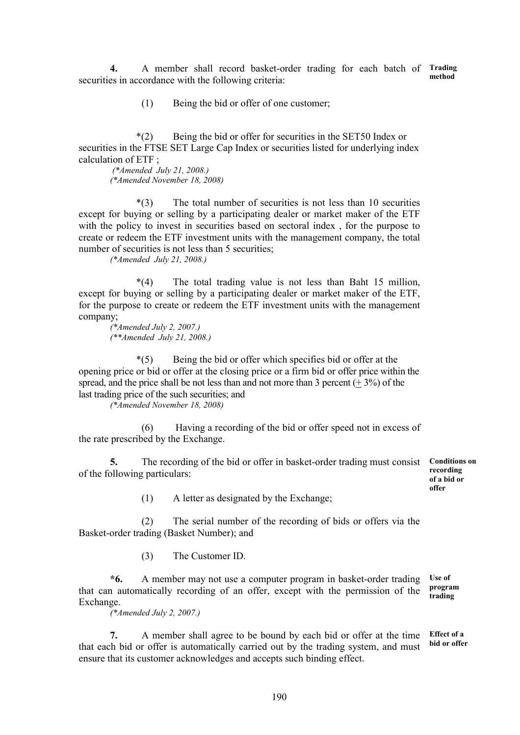4. A member shall record basket-order trading for each batch of Trading securities in accordance with the following criteria: method

(1) Being the bid or offer of one customer;

 \*(2) Being the bid or offer for securities in the SET50 Index or securities in the FTSE SET Large Cap Index or securities listed for underlying index calculation of  $ETF$ .

 (\*Amended July 21, 2008.) (\*Amended November 18, 2008)

 \*(3) The total number of securities is not less than 10 securities except for buying or selling by a participating dealer or market maker of the ETF with the policy to invest in securities based on sectoral index , for the purpose to create or redeem the ETF investment units with the management company, the total number of securities is not less than 5 securities;

(\*Amended July 21, 2008.)

 \*(4) The total trading value is not less than Baht 15 million, except for buying or selling by a participating dealer or market maker of the ETF, for the purpose to create or redeem the ETF investment units with the management company;

(\*Amended July 2, 2007.) (\*\*Amended July 21, 2008.)

 \*(5) Being the bid or offer which specifies bid or offer at the opening price or bid or offer at the closing price or a firm bid or offer price within the spread, and the price shall be not less than and not more than 3 percent  $(+3\%)$  of the last trading price of the such securities; and

(\*Amended November 18, 2008)

 (6) Having a recording of the bid or offer speed not in excess of the rate prescribed by the Exchange.

5. The recording of the bid or offer in basket-order trading must consist of the following particulars:

Conditions on recording of a bid or offer

(1) A letter as designated by the Exchange;

 (2) The serial number of the recording of bids or offers via the Basket-order trading (Basket Number); and

(3) The Customer ID.

\*6. A member may not use a computer program in basket-order trading that can automatically recording of an offer, except with the permission of the Exchange. Use of program trading

(\*Amended July 2, 2007.)

7. A member shall agree to be bound by each bid or offer at the time that each bid or offer is automatically carried out by the trading system, and must ensure that its customer acknowledges and accepts such binding effect. Effect of a bid or offer